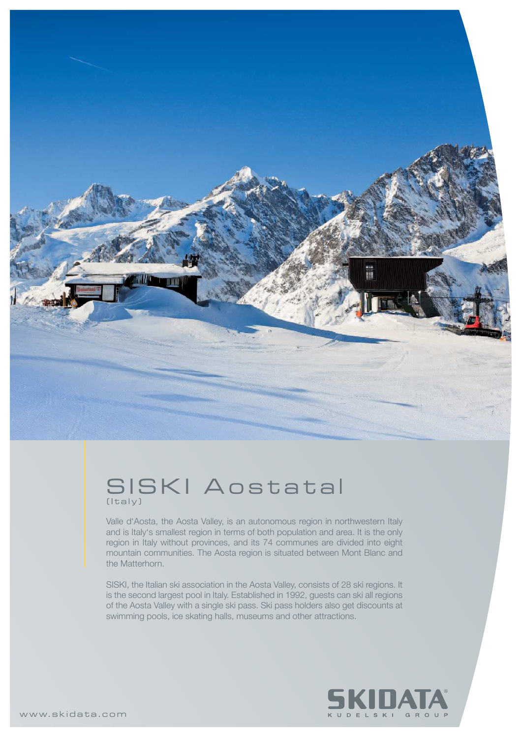

## SISKI Aostatal (Italy)

Valle d'Aosta, the Aosta Valley, is an autonomous region in northwestern Italy and is Italy's smallest region in terms of both population and area. It is the only region in Italy without provinces, and its 74 communes are divided into eight mountain communities. The Aosta region is situated between Mont Blanc and the Matterhorn.

SISKI, the Italian ski association in the Aosta Valley, consists of 28 ski regions. It is the second largest pool in Italy. Established in 1992, guests can ski all regions of the Aosta Valley with a single ski pass. Ski pass holders also get discounts at swimming pools, ice skating halls, museums and other attractions.